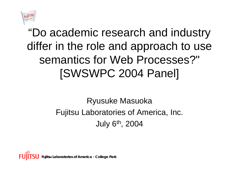

#### "Do academic research and industry differ in the role and approach to use semantics for Web Processes?" [SWSWPC 2004 Panel]

#### Ryusuke Masuoka Fujitsu Laboratories of America, Inc. July 6th, 2004

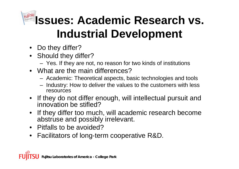### **Issues: Academic Research vs. Industrial Development**

- Do they differ?
- Should they differ?
	- Yes. If they are not, no reason for two kinds of institutions
- What are the main differences?
	- Academic: Theoretical aspects, basic technologies and tools
	- Industry: How to deliver the values to the customers with less resources
- If they do not differ enough, will intellectual pursuit and innovation be stifled?
- If they differ too much, will academic research become abstruse and possibly irrelevant.
- Pitfalls to be avoided?
- Facilitators of long-term cooperative R&D.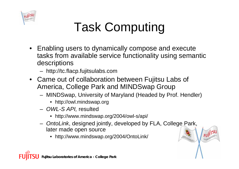

# Task Computing

- Enabling users to dynamically compose and execute tasks from available service functionality using semantic descriptions
	- http://tc.flacp.fujitsulabs.com
- Came out of collaboration between Fujitsu Labs of America, College Park and MINDSwap Group
	- MINDSwap, University o f Maryland (Headed by Prof. Hendler)
		- http://owl.mindswap.org
	- *OWL-S API,* resulted
		- http://www.mindswap.org/2004/owl-s/api/
	- *OntoLink*, designed jointly, developed by FLA, College Park, later made open source
		- http://www.mindswap.org/2004/OntoLink/

**Fujitsu Laboratories of America - College Park**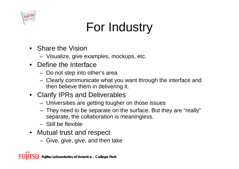

# For Industry

- Share the Vision
	- Visualize, give examples, mockups, etc.
- •Define the Interface
	- Do not step into other's area
	- Clearly communic ate what you want through the interface and then believe them in delivering it.
- Clarify IPRs and Deliverables
	- Universities are getting tougher on those issues
	- They need to be separate on the surface. But they are "really" separate, the collaboration is meaningless.
	- –Still be flexible
- Mutual trust and respect
	- Give, giv e, give, and then take

**Fujitsu Laboratories of America - College Park**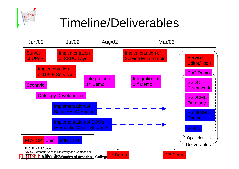

### Timeline/Deliverables

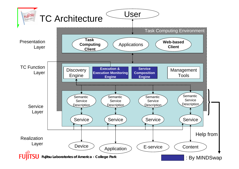